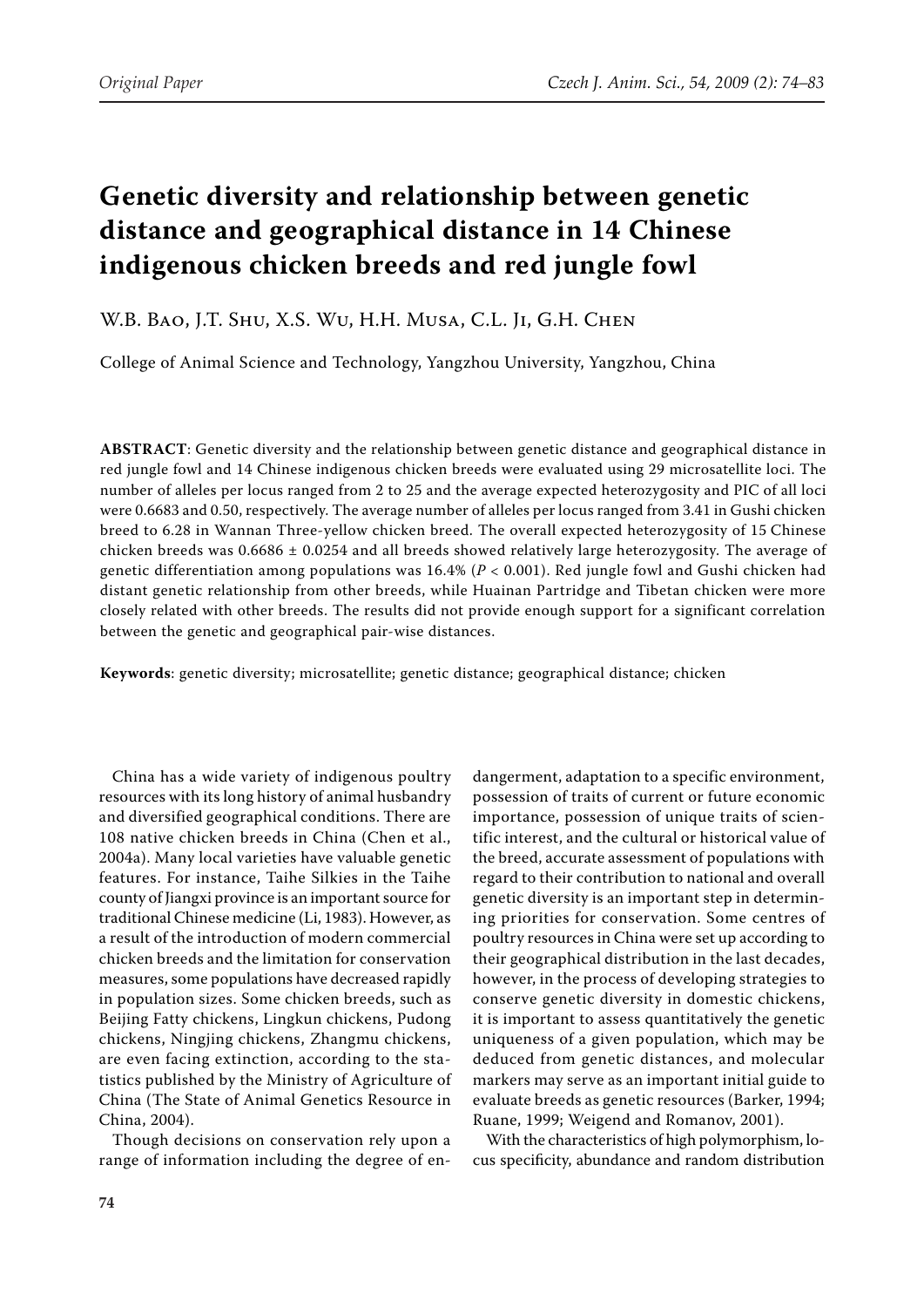# **Genetic diversity and relationship between genetic distance and geographical distance in 14 Chinese indigenous chicken breeds and red jungle fowl**

## W.B. Bao, J.T. Shu, X.S. Wu, H.H. Musa, C.L. Ji, G.H. Chen

College of Animal Science and Technology, Yangzhou University, Yangzhou, China

**ABSTRACT**: Genetic diversity and the relationship between genetic distance and geographical distance in red jungle fowl and 14 Chinese indigenous chicken breeds were evaluated using 29 microsatellite loci. The number of alleles per locus ranged from 2 to 25 and the average expected heterozygosity and PIC of all loci were 0.6683 and 0.50, respectively. The average number of alleles per locus ranged from 3.41 in Gushi chicken breed to 6.28 in Wannan Three-yellow chicken breed. The overall expected heterozygosity of 15 Chinese chicken breeds was 0.6686 ± 0.0254 and all breeds showed relatively large heterozygosity. The average of genetic differentiation among populations was 16.4% (*P* < 0.001). Red jungle fowl and Gushi chicken had distant genetic relationship from other breeds, while Huainan Partridge and Tibetan chicken were more closely related with other breeds. The results did not provide enough support for a significant correlation between the genetic and geographical pair-wise distances.

**Keywords**: genetic diversity; microsatellite; genetic distance; geographical distance; chicken

China has a wide variety of indigenous poultry resources with its long history of animal husbandry and diversified geographical conditions. There are 108 native chicken breeds in China (Chen et al., 2004a). Many local varieties have valuable genetic features. For instance, Taihe Silkies in the Taihe county of Jiangxi province is an important source for traditional Chinese medicine (Li, 1983). However, as a result of the introduction of modern commercial chicken breeds and the limitation for conservation measures, some populations have decreased rapidly in population sizes. Some chicken breeds, such as Beijing Fatty chickens, Lingkun chickens, Pudong chickens, Ningjing chickens, Zhangmu chickens, are even facing extinction, according to the statistics published by the Ministry of Agriculture of China (The State of Animal Genetics Resource in China, 2004).

Though decisions on conservation rely upon a range of information including the degree of en-

dangerment, adaptation to a specific environment, possession of traits of current or future economic importance, possession of unique traits of scientific interest, and the cultural or historical value of the breed, accurate assessment of populations with regard to their contribution to national and overall genetic diversity is an important step in determining priorities for conservation. Some centres of poultry resources in China were set up according to their geographical distribution in the last decades, however, in the process of developing strategies to conserve genetic diversity in domestic chickens, it is important to assess quantitatively the genetic uniqueness of a given population, which may be deduced from genetic distances, and molecular markers may serve as an important initial guide to evaluate breeds as genetic resources (Barker, 1994; Ruane, 1999; Weigend and Romanov, 2001).

With the characteristics of high polymorphism, locus specificity, abundance and random distribution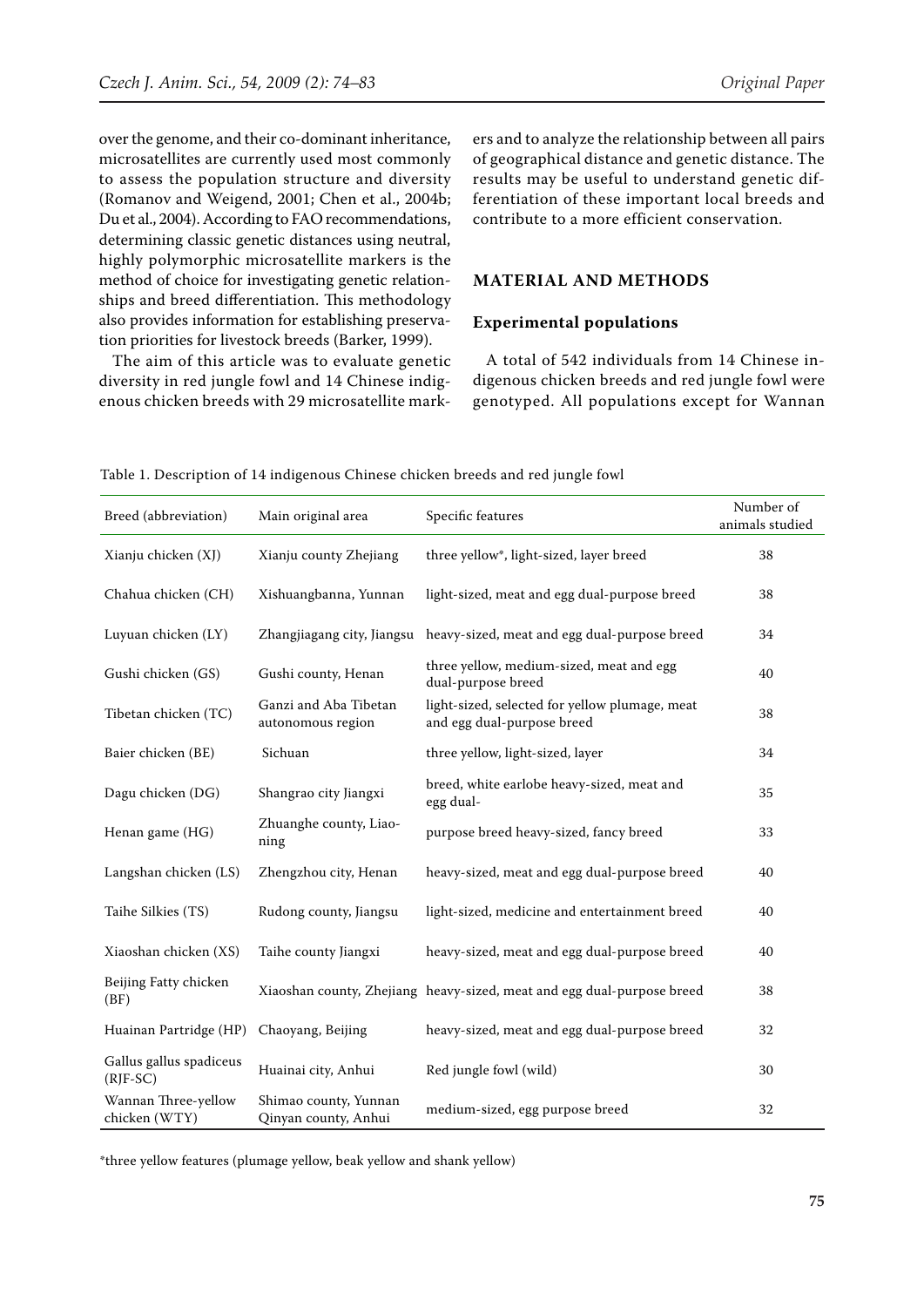over the genome, and their co-dominant inheritance, microsatellites are currently used most commonly to assess the population structure and diversity (Romanov and Weigend, 2001; Chen et al., 2004b; Du et al., 2004). According to FAO recommendations, determining classic genetic distances using neutral, highly polymorphic microsatellite markers is the method of choice for investigating genetic relationships and breed differentiation. This methodology also provides information for establishing preservation priorities for livestock breeds (Barker, 1999).

The aim of this article was to evaluate genetic diversity in red jungle fowl and 14 Chinese indigenous chicken breeds with 29 microsatellite mark-

ers and to analyze the relationship between all pairs of geographical distance and genetic distance. The results may be useful to understand genetic differentiation of these important local breeds and contribute to a more efficient conservation.

## **Material and methods**

#### **Experimental populations**

A total of 542 individuals from 14 Chinese indigenous chicken breeds and red jungle fowl were genotyped. All populations except for Wannan

| Breed (abbreviation)                  | Main original area                            | Specific features                                                            | Number of<br>animals studied |
|---------------------------------------|-----------------------------------------------|------------------------------------------------------------------------------|------------------------------|
| Xianju chicken (XJ)                   | Xianju county Zhejiang                        | three yellow*, light-sized, layer breed                                      | 38                           |
| Chahua chicken (CH)                   | Xishuangbanna, Yunnan                         | light-sized, meat and egg dual-purpose breed                                 | 38                           |
| Luyuan chicken (LY)                   | Zhangjiagang city, Jiangsu                    | heavy-sized, meat and egg dual-purpose breed                                 | 34                           |
| Gushi chicken (GS)                    | Gushi county, Henan                           | three yellow, medium-sized, meat and egg<br>dual-purpose breed               | 40                           |
| Tibetan chicken (TC)                  | Ganzi and Aba Tibetan<br>autonomous region    | light-sized, selected for yellow plumage, meat<br>and egg dual-purpose breed | 38                           |
| Baier chicken (BE)                    | Sichuan                                       | three yellow, light-sized, layer                                             | 34                           |
| Dagu chicken (DG)                     | Shangrao city Jiangxi                         | breed, white earlobe heavy-sized, meat and<br>egg dual-                      | 35                           |
| Henan game (HG)                       | Zhuanghe county, Liao-<br>ning                | purpose breed heavy-sized, fancy breed                                       | 33                           |
| Langshan chicken (LS)                 | Zhengzhou city, Henan                         | heavy-sized, meat and egg dual-purpose breed                                 | 40                           |
| Taihe Silkies (TS)                    | Rudong county, Jiangsu                        | light-sized, medicine and entertainment breed                                | 40                           |
| Xiaoshan chicken (XS)                 | Taihe county Jiangxi                          | heavy-sized, meat and egg dual-purpose breed                                 | 40                           |
| Beijing Fatty chicken<br>(BF)         |                                               | Xiaoshan county, Zhejiang heavy-sized, meat and egg dual-purpose breed       | 38                           |
| Huainan Partridge (HP)                | Chaoyang, Beijing                             | heavy-sized, meat and egg dual-purpose breed                                 | 32                           |
| Gallus gallus spadiceus<br>$(RJF-SC)$ | Huainai city, Anhui                           | Red jungle fowl (wild)                                                       | 30                           |
| Wannan Three-yellow<br>chicken (WTY)  | Shimao county, Yunnan<br>Qinyan county, Anhui | medium-sized, egg purpose breed                                              | 32                           |

Table 1. Description of 14 indigenous Chinese chicken breeds and red jungle fowl

\*three yellow features (plumage yellow, beak yellow and shank yellow)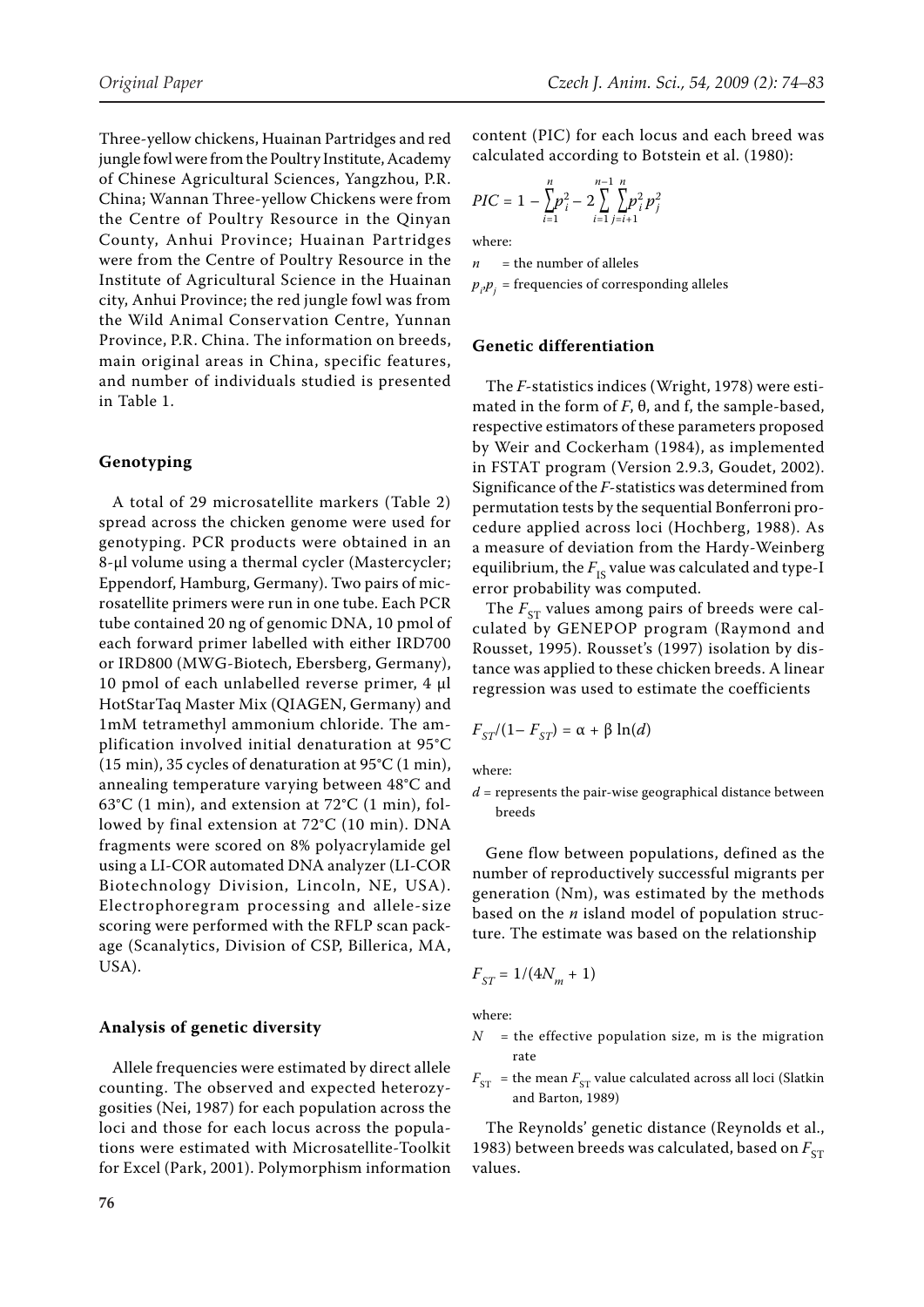Three-yellow chickens, Huainan Partridges and red jungle fowl were from the Poultry Institute, Academy of Chinese Agricultural Sciences, Yangzhou, P.R. China; Wannan Three-yellow Chickens were from the Centre of Poultry Resource in the Qinyan County, Anhui Province; Huainan Partridges were from the Centre of Poultry Resource in the Institute of Agricultural Science in the Huainan city, Anhui Province; the red jungle fowl was from the Wild Animal Conservation Centre, Yunnan Province, P.R. China. The information on breeds, main original areas in China, specific features, and number of individuals studied is presented in Table 1.

#### **Genotyping**

A total of 29 microsatellite markers (Table 2) spread across the chicken genome were used for genotyping. PCR products were obtained in an 8-μl volume using a thermal cycler (Mastercycler; Eppendorf, Hamburg, Germany). Two pairs of microsatellite primers were run in one tube. Each PCR tube contained 20 ng of genomic DNA, 10 pmol of each forward primer labelled with either IRD700 or IRD800 (MWG-Biotech, Ebersberg, Germany), 10 pmol of each unlabelled reverse primer, 4 μl HotStarTaq Master Mix (QIAGEN, Germany) and 1mM tetramethyl ammonium chloride. The amplification involved initial denaturation at 95°C (15 min), 35 cycles of denaturation at 95°C (1 min), annealing temperature varying between 48°C and 63°C (1 min), and extension at 72°C (1 min), followed by final extension at 72°C (10 min). DNA fragments were scored on 8% polyacrylamide gel using a LI-COR automated DNA analyzer (LI-COR Biotechnology Division, Lincoln, NE, USA). Electrophoregram processing and allele-size scoring were performed with the RFLP scan package (Scanalytics, Division of CSP, Billerica, MA, USA).

#### **Analysis of genetic diversity**

Allele frequencies were estimated by direct allele counting. The observed and expected heterozygosities (Nei, 1987) for each population across the loci and those for each locus across the populations were estimated with Microsatellite-Toolkit for Excel (Park, 2001). Polymorphism information content (PIC) for each locus and each breed was calculated according to Botstein et al. (1980):

$$
PIC = 1 - \sum_{i=1}^{n} p_i^2 - 2 \sum_{i=1}^{n-1} \sum_{j=i+1}^{n} p_j^2 p_j^2
$$

where:

 $n =$  the number of alleles

 $p_{i\cdot}p_{j}^{\phantom{\dag}}$  = frequencies of corresponding alleles

#### **Genetic differentiation**

The *F*-statistics indices (Wright, 1978) were estimated in the form of  $F$ ,  $\theta$ , and f, the sample-based, respective estimators of these parameters proposed by Weir and Cockerham (1984), as implemented in FSTAT program (Version 2.9.3, Goudet, 2002). Significance of the *F*-statistics was determined from permutation tests by the sequential Bonferroni procedure applied across loci (Hochberg, 1988). As a measure of deviation from the Hardy-Weinberg equilibrium, the  $F_{IS}$  value was calculated and type-I error probability was computed.

The  $F_{ST}$  values among pairs of breeds were calculated by GENEPOP program (Raymond and Rousset, 1995). Rousset's (1997) isolation by distance was applied to these chicken breeds. A linear regression was used to estimate the coefficients

$$
F_{ST}/(1 - F_{ST}) = \alpha + \beta \ln(d)
$$

where:

 $d$  = represents the pair-wise geographical distance between breeds

Gene flow between populations, defined as the number of reproductively successful migrants per generation (Nm), was estimated by the methods based on the *n* island model of population structure. The estimate was based on the relationship

$$
F_{ST} = 1/(4N_m+1)
$$

where:

- $N =$  the effective population size, m is the migration rate
- $F_{ST}$  = the mean  $F_{ST}$  value calculated across all loci (Slatkin and Barton, 1989)

The Reynolds' genetic distance (Reynolds et al., 1983) between breeds was calculated, based on  $F_{ST}$ values.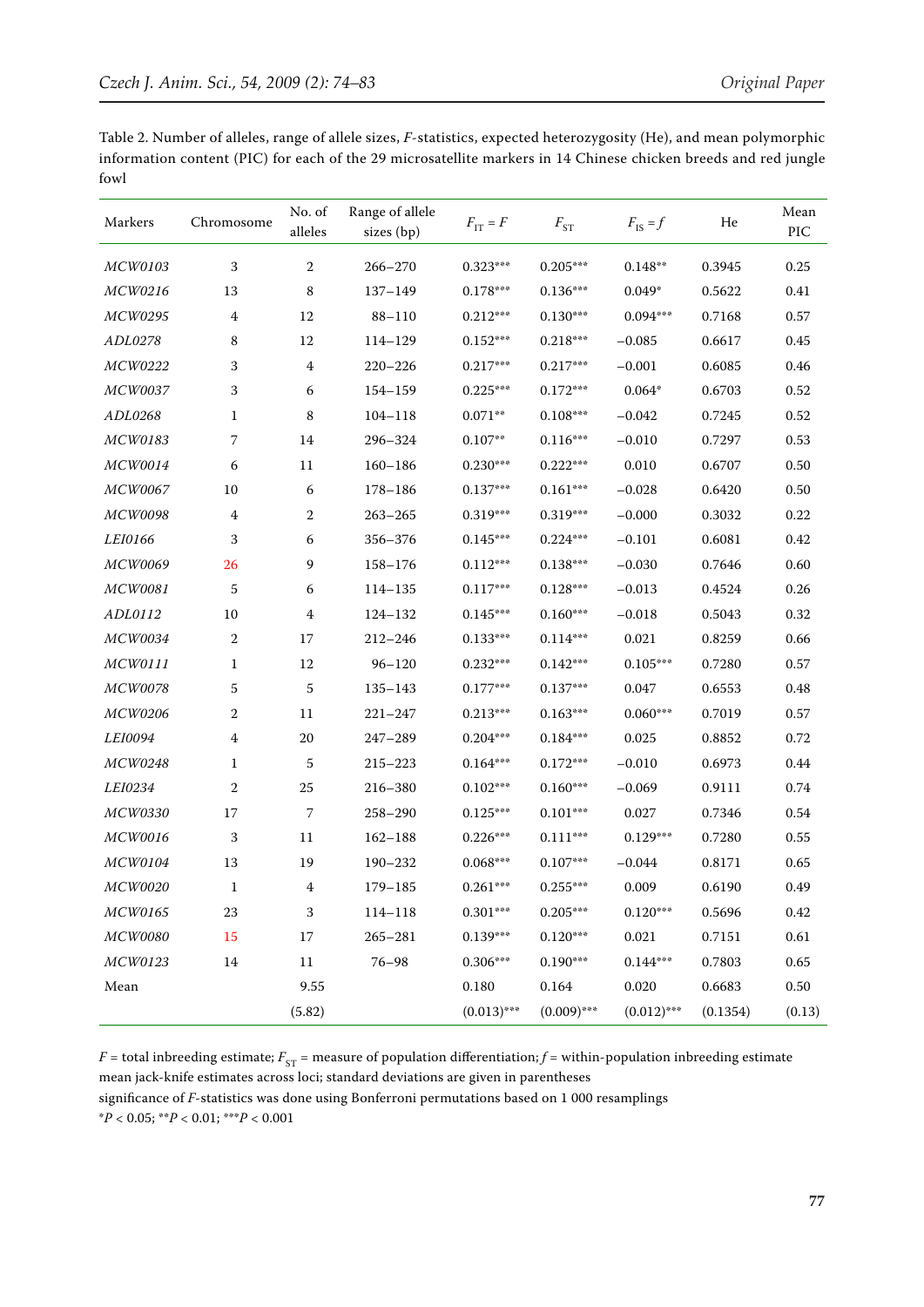Table 2. Number of alleles, range of allele sizes, *F*-statistics, expected heterozygosity (He), and mean polymorphic information content (PIC) for each of the 29 microsatellite markers in 14 Chinese chicken breeds and red jungle fowl

| Markers        | Chromosome     | No. of<br>alleles | Range of allele<br>sizes (bp) | $F_{IT} = F$  | $F_{ST}$               | $F_{\text{IS}} = f$ | He       | Mean<br>PIC |
|----------------|----------------|-------------------|-------------------------------|---------------|------------------------|---------------------|----------|-------------|
| <b>MCW0103</b> | 3              | 2                 | $266 - 270$                   | $0.323***$    | $0.205***$             | $0.148**$           | 0.3945   | 0.25        |
| MCW0216        | 13             | 8                 | $137 - 149$                   | $0.178***$    | $0.136***$             | $0.049*$            | 0.5622   | 0.41        |
| <b>MCW0295</b> | $\overline{4}$ | 12                | $88 - 110$                    | $0.212***$    | $0.130***$             | $0.094***$          | 0.7168   | 0.57        |
| ADL0278        | 8              | 12                | 114-129                       | $0.152***$    | $0.218***$             | $-0.085$            | 0.6617   | 0.45        |
| MCW0222        | 3              | $\overline{4}$    | $220 - 226$                   | $0.217***$    | $0.217***$             | $-0.001$            | 0.6085   | 0.46        |
| <b>MCW0037</b> | 3              | 6                 | 154-159                       | $0.225***$    | $0.172***$             | $0.064*$            | 0.6703   | 0.52        |
| ADL0268        | 1              | 8                 | $104 - 118$                   | $0.071**$     | $0.108***$             | $-0.042$            | 0.7245   | 0.52        |
| MCW0183        | 7              | 14                | 296-324                       | $0.107**$     | $0.116^{\ast\ast\ast}$ | $-0.010$            | 0.7297   | 0.53        |
| <b>MCW0014</b> | 6              | 11                | $160 - 186$                   | $0.230***$    | $0.222***$             | 0.010               | 0.6707   | 0.50        |
| MCW0067        | 10             | 6                 | $178 - 186$                   | $0.137***$    | $0.161***$             | $-0.028$            | 0.6420   | 0.50        |
| <b>MCW0098</b> | $\overline{4}$ | 2                 | $263 - 265$                   | $0.319***$    | $0.319***$             | $-0.000$            | 0.3032   | 0.22        |
| LEI0166        | 3              | 6                 | 356-376                       | $0.145***$    | $0.224***$             | $-0.101$            | 0.6081   | 0.42        |
| <b>MCW0069</b> | 26             | 9                 | $158 - 176$                   | $0.112***$    | $0.138^{\ast\ast\ast}$ | $-0.030$            | 0.7646   | 0.60        |
| <b>MCW0081</b> | 5              | 6                 | 114-135                       | $0.117***$    | $0.128***$             | $-0.013$            | 0.4524   | 0.26        |
| ADL0112        | 10             | 4                 | 124-132                       | $0.145***$    | $0.160***$             | $-0.018$            | 0.5043   | 0.32        |
| <b>MCW0034</b> | $\sqrt{2}$     | 17                | $212 - 246$                   | $0.133***$    | $0.114^{\ast\ast\ast}$ | 0.021               | 0.8259   | 0.66        |
| MCW0111        | 1              | 12                | $96 - 120$                    | $0.232***$    | $0.142***$             | $0.105***$          | 0.7280   | 0.57        |
| <b>MCW0078</b> | 5              | 5                 | $135 - 143$                   | $0.177***$    | $0.137***$             | 0.047               | 0.6553   | 0.48        |
| <b>MCW0206</b> | 2              | 11                | $221 - 247$                   | $0.213***$    | $0.163***$             | $0.060***$          | 0.7019   | 0.57        |
| <i>LEI0094</i> | 4              | 20                | $247 - 289$                   | $0.204***$    | $0.184***$             | 0.025               | 0.8852   | 0.72        |
| MCW0248        | 1              | 5                 | $215 - 223$                   | $0.164***$    | $0.172***$             | $-0.010$            | 0.6973   | 0.44        |
| <i>LEI0234</i> | $\mathbf{2}$   | 25                | 216-380                       | $0.102***$    | $0.160***$             | $-0.069$            | 0.9111   | 0.74        |
| <b>MCW0330</b> | 17             | $\overline{7}$    | $258 - 290$                   | $0.125***$    | $0.101***$             | 0.027               | 0.7346   | 0.54        |
| <b>MCW0016</b> | 3              | 11                | $162 - 188$                   | $0.226***$    | $0.111***$             | $0.129***$          | 0.7280   | 0.55        |
| MCW0104        | 13             | 19                | 190-232                       | $0.068***$    | $0.107***$             | $-0.044$            | 0.8171   | 0.65        |
| <b>MCW0020</b> | 1              | 4                 | $179 - 185$                   | $0.261***$    | $0.255***$             | 0.009               | 0.6190   | 0.49        |
| MCW0165        | 23             | 3                 | $114 - 118$                   | $0.301***$    | $0.205***$             | $0.120***$          | 0.5696   | 0.42        |
| MCW0080        | 15             | 17                | $265 - 281$                   | $0.139***$    | $0.120***$             | 0.021               | 0.7151   | 0.61        |
| MCW0123        | 14             | 11                | $76 - 98$                     | $0.306***$    | $0.190***$             | $0.144***$          | 0.7803   | 0.65        |
| ${\it Mean}$   |                | 9.55              |                               | 0.180         | 0.164                  | 0.020               | 0.6683   | $0.50\,$    |
|                |                | (5.82)            |                               | $(0.013)$ *** | $(0.009)$ ***          | $(0.012)$ ***       | (0.1354) | (0.13)      |

*F* = total inbreeding estimate;  $F_{ST}$  = measure of population differentiation; *f* = within-population inbreeding estimate mean jack-knife estimates across loci; standard deviations are given in parentheses

significance of *F*-statistics was done using Bonferroni permutations based on 1 000 resamplings \**P* < 0.05; \*\**P* < 0.01; \*\*\**P* < 0.001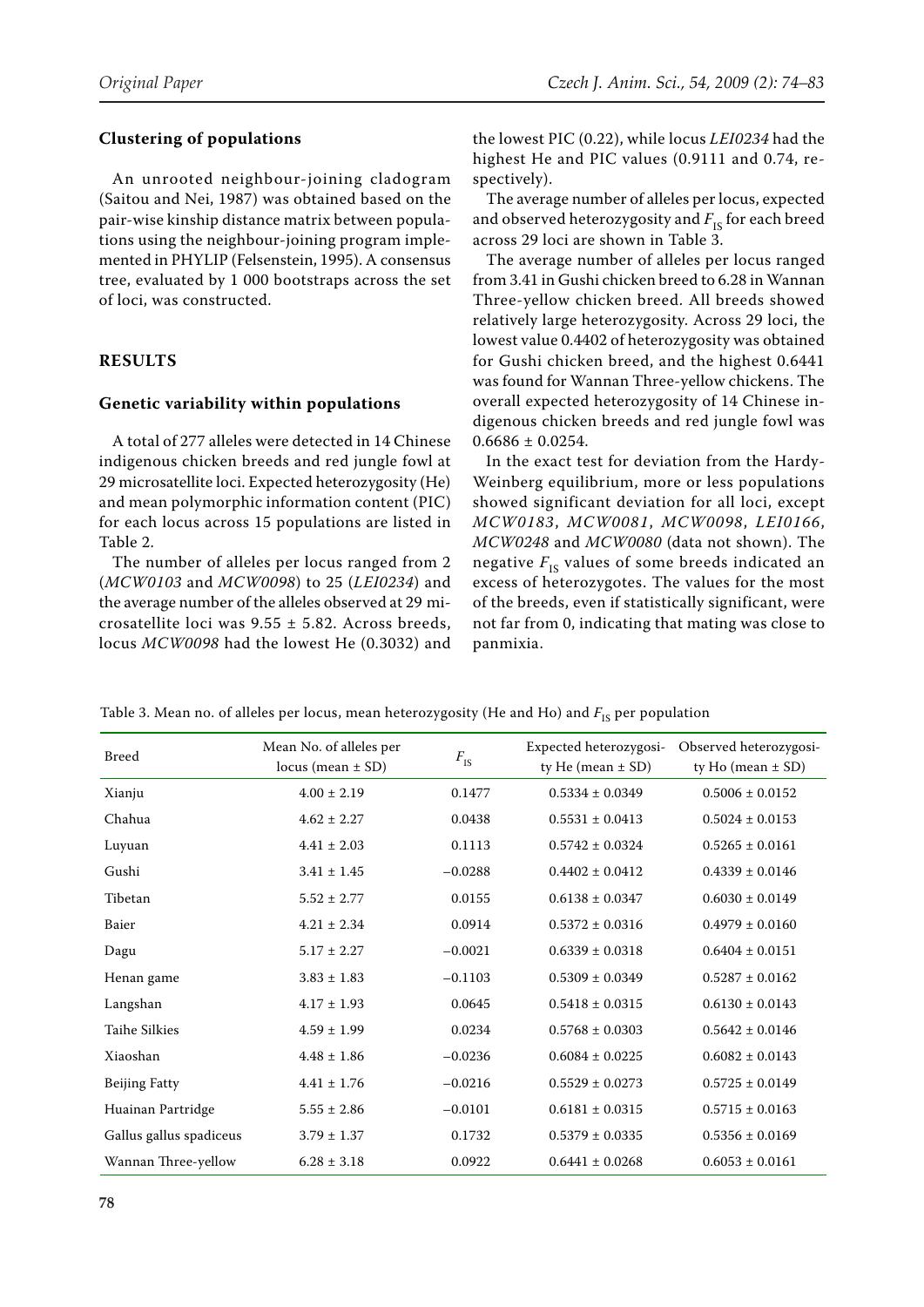## **Clustering of populations**

An unrooted neighbour-joining cladogram (Saitou and Nei, 1987) was obtained based on the pair-wise kinship distance matrix between populations using the neighbour-joining program implemented in PHYLIP (Felsenstein, 1995). A consensus tree, evaluated by 1 000 bootstraps across the set of loci, was constructed.

## **Results**

## **Genetic variability within populations**

A total of 277 alleles were detected in 14 Chinese indigenous chicken breeds and red jungle fowl at 29 microsatellite loci. Expected heterozygosity (He) and mean polymorphic information content (PIC) for each locus across 15 populations are listed in Table 2.

The number of alleles per locus ranged from 2 (*MCW0103* and *MCW0098*) to 25 (*LEI0234*) and the average number of the alleles observed at 29 microsatellite loci was  $9.55 \pm 5.82$ . Across breeds, locus *MCW0098* had the lowest He (0.3032) and

the lowest PIC (0.22), while locus *LEI0234* had the highest He and PIC values (0.9111 and 0.74, respectively).

The average number of alleles per locus, expected and observed heterozygosity and  $F_{\text{IS}}$  for each breed across 29 loci are shown in Table 3.

The average number of alleles per locus ranged from 3.41 in Gushi chicken breed to 6.28 in Wannan Three-yellow chicken breed. All breeds showed relatively large heterozygosity. Across 29 loci, the lowest value 0.4402 of heterozygosity was obtained for Gushi chicken breed, and the highest 0.6441 was found for Wannan Three-yellow chickens. The overall expected heterozygosity of 14 Chinese indigenous chicken breeds and red jungle fowl was  $0.6686 \pm 0.0254$ .

In the exact test for deviation from the Hardy-Weinberg equilibrium, more or less populations showed significant deviation for all loci, except *MCW0183*, *MCW0081*, *MCW0098*, *LEI0166*, *MCW0248* and *MCW0080* (data not shown). The negative  $F_{\text{IS}}$  values of some breeds indicated an excess of heterozygotes. The values for the most of the breeds, even if statistically significant, were not far from 0, indicating that mating was close to panmixia.

Table 3. Mean no. of alleles per locus, mean heterozygosity (He and Ho) and  $F_{\text{IS}}$  per population

| <b>Breed</b>            | Mean No. of alleles per<br>$locus (mean \pm SD)$ | $F_{\rm IS}$ | Expected heterozygosi-<br>ty He (mean $\pm$ SD) | Observed heterozygosi-<br>ty Ho (mean $\pm$ SD) |
|-------------------------|--------------------------------------------------|--------------|-------------------------------------------------|-------------------------------------------------|
| Xianju                  | $4.00 \pm 2.19$                                  | 0.1477       | $0.5334 \pm 0.0349$                             | $0.5006 \pm 0.0152$                             |
| Chahua                  | $4.62 \pm 2.27$                                  | 0.0438       | $0.5531 \pm 0.0413$                             | $0.5024 \pm 0.0153$                             |
| Luyuan                  | $4.41 \pm 2.03$                                  | 0.1113       | $0.5742 \pm 0.0324$                             | $0.5265 \pm 0.0161$                             |
| Gushi                   | $3.41 \pm 1.45$                                  | $-0.0288$    | $0.4402 \pm 0.0412$                             | $0.4339 \pm 0.0146$                             |
| Tibetan                 | $5.52 \pm 2.77$                                  | 0.0155       | $0.6138 \pm 0.0347$                             | $0.6030 \pm 0.0149$                             |
| Baier                   | $4.21 \pm 2.34$                                  | 0.0914       | $0.5372 \pm 0.0316$                             | $0.4979 \pm 0.0160$                             |
| Dagu                    | $5.17 \pm 2.27$                                  | $-0.0021$    | $0.6339 \pm 0.0318$                             | $0.6404 \pm 0.0151$                             |
| Henan game              | $3.83 \pm 1.83$                                  | $-0.1103$    | $0.5309 \pm 0.0349$                             | $0.5287 \pm 0.0162$                             |
| Langshan                | $4.17 \pm 1.93$                                  | 0.0645       | $0.5418 \pm 0.0315$                             | $0.6130 \pm 0.0143$                             |
| <b>Taihe Silkies</b>    | $4.59 \pm 1.99$                                  | 0.0234       | $0.5768 \pm 0.0303$                             | $0.5642 \pm 0.0146$                             |
| Xiaoshan                | $4.48 \pm 1.86$                                  | $-0.0236$    | $0.6084 \pm 0.0225$                             | $0.6082 \pm 0.0143$                             |
| <b>Beijing Fatty</b>    | $4.41 \pm 1.76$                                  | $-0.0216$    | $0.5529 \pm 0.0273$                             | $0.5725 \pm 0.0149$                             |
| Huainan Partridge       | $5.55 \pm 2.86$                                  | $-0.0101$    | $0.6181 \pm 0.0315$                             | $0.5715 \pm 0.0163$                             |
| Gallus gallus spadiceus | $3.79 \pm 1.37$                                  | 0.1732       | $0.5379 \pm 0.0335$                             | $0.5356 \pm 0.0169$                             |
| Wannan Three-yellow     | $6.28 \pm 3.18$                                  | 0.0922       | $0.6441 \pm 0.0268$                             | $0.6053 \pm 0.0161$                             |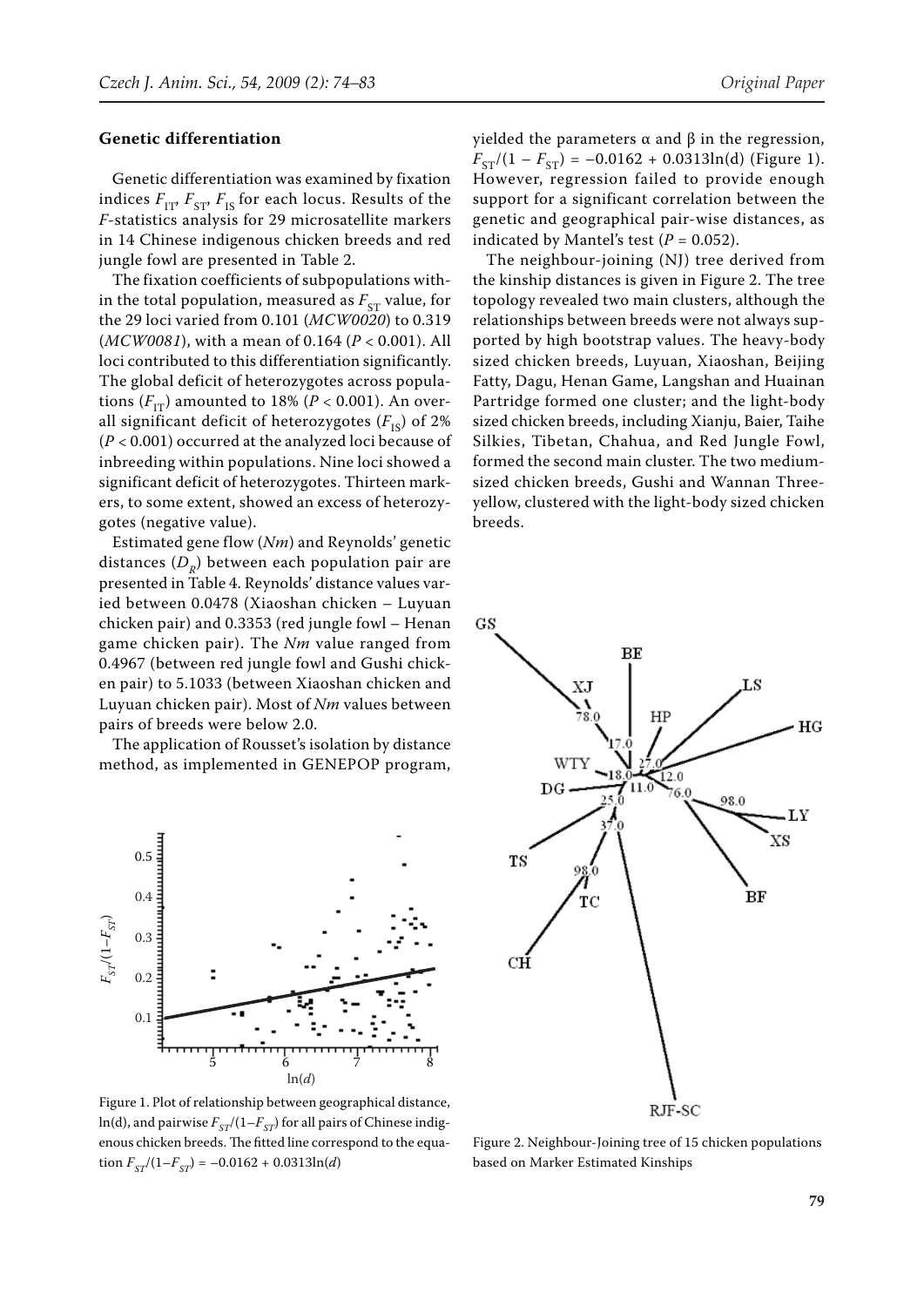#### **Genetic differentiation**

Genetic differentiation was examined by fixation indices  $F_{IT}$ ,  $F_{ST}$ ,  $F_{IS}$  for each locus. Results of the *F*-statistics analysis for 29 microsatellite markers in 14 Chinese indigenous chicken breeds and red jungle fowl are presented in Table 2.

The fixation coefficients of subpopulations within the total population, measured as  $F_{ST}$  value, for the 29 loci varied from 0.101 (*MCW0020*) to 0.319 (*MCW0081*), with a mean of 0.164 (*P* < 0.001). All loci contributed to this differentiation significantly. The global deficit of heterozygotes across populations  $(F_{TT})$  amounted to 18% ( $P < 0.001$ ). An overall significant deficit of heterozygotes  $(F_{\text{IS}})$  of 2% (*P* < 0.001) occurred at the analyzed loci because of inbreeding within populations. Nine loci showed a significant deficit of heterozygotes. Thirteen markers, to some extent, showed an excess of heterozygotes (negative value).

Estimated gene flow (*Nm*) and Reynolds' genetic distances  $(D_p)$  between each population pair are presented in Table 4. Reynolds' distance values varied between 0.0478 (Xiaoshan chicken – Luyuan chicken pair) and 0.3353 (red jungle fowl – Henan game chicken pair). The *Nm* value ranged from 0.4967 (between red jungle fowl and Gushi chicken pair) to 5.1033 (between Xiaoshan chicken and Luyuan chicken pair). Most of *Nm* values between pairs of breeds were below 2.0.

The application of Rousset's isolation by distance method, as implemented in GENEPOP program,



Figure 1. Plot of relationship between geographical distance,  $ln(d)$ , and pairwise  $F_{ST}/(1-F_{ST})$  for all pairs of Chinese indigenous chicken breeds. The fitted line correspond to the equation  $F_{ST}/(1-F_{ST}) = -0.0162 + 0.0313\ln(d)$ 

yielded the parameters  $\alpha$  and  $\beta$  in the regression,  $F_{ST}/(1 - F_{ST}) = -0.0162 + 0.0313\ln(d)$  (Figure 1). However, regression failed to provide enough support for a significant correlation between the genetic and geographical pair-wise distances, as indicated by Mantel's test  $(P = 0.052)$ .

The neighbour-joining (NJ) tree derived from the kinship distances is given in Figure 2. The tree topology revealed two main clusters, although the relationships between breeds were not always supported by high bootstrap values. The heavy-body sized chicken breeds, Luyuan, Xiaoshan, Beijing Fatty, Dagu, Henan Game, Langshan and Huainan Partridge formed one cluster; and the light-body sized chicken breeds, including Xianju, Baier, Taihe Silkies, Tibetan, Chahua, and Red Jungle Fowl, formed the second main cluster. The two mediumsized chicken breeds, Gushi and Wannan Threeyellow, clustered with the light-body sized chicken breeds.

GS



Figure 2. Neighbour-Joining tree of 15 chicken populations based on Marker Estimated Kinships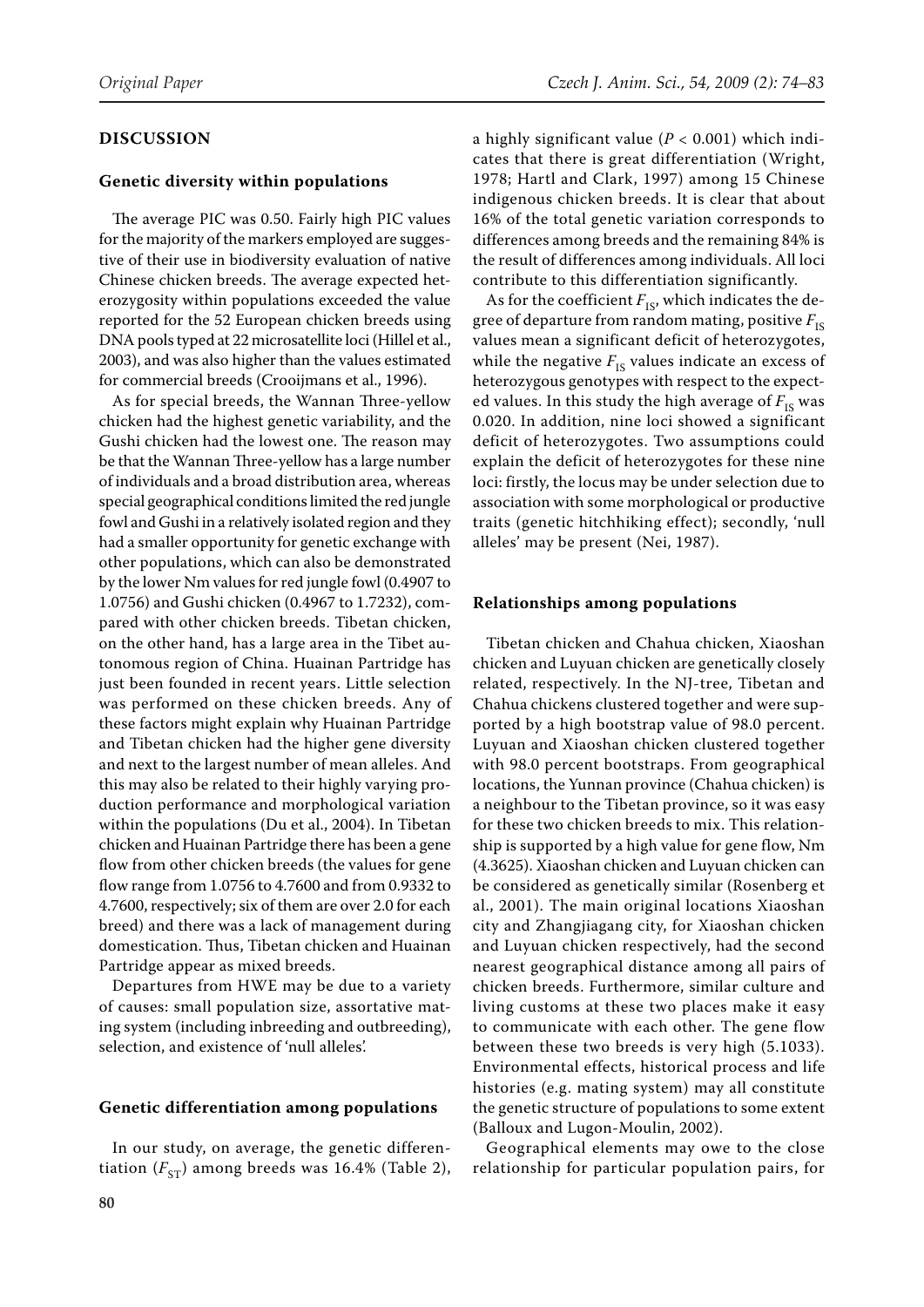### **Discussion**

#### **Genetic diversity within populations**

The average PIC was 0.50. Fairly high PIC values for the majority of the markers employed are suggestive of their use in biodiversity evaluation of native Chinese chicken breeds. The average expected heterozygosity within populations exceeded the value reported for the 52 European chicken breeds using DNA pools typed at 22 microsatellite loci (Hillel et al., 2003), and was also higher than the values estimated for commercial breeds (Crooijmans et al., 1996).

As for special breeds, the Wannan Three-yellow chicken had the highest genetic variability, and the Gushi chicken had the lowest one. The reason may be that the Wannan Three-yellow has a large number of individuals and a broad distribution area, whereas special geographical conditions limited the red jungle fowl and Gushi in a relatively isolated region and they had a smaller opportunity for genetic exchange with other populations, which can also be demonstrated by the lower Nm values for red jungle fowl (0.4907 to 1.0756) and Gushi chicken (0.4967 to 1.7232), compared with other chicken breeds. Tibetan chicken, on the other hand, has a large area in the Tibet autonomous region of China. Huainan Partridge has just been founded in recent years. Little selection was performed on these chicken breeds. Any of these factors might explain why Huainan Partridge and Tibetan chicken had the higher gene diversity and next to the largest number of mean alleles. And this may also be related to their highly varying production performance and morphological variation within the populations (Du et al., 2004). In Tibetan chicken and Huainan Partridge there has been a gene flow from other chicken breeds (the values for gene flow range from 1.0756 to 4.7600 and from 0.9332 to 4.7600, respectively; six of them are over 2.0 for each breed) and there was a lack of management during domestication. Thus, Tibetan chicken and Huainan Partridge appear as mixed breeds.

Departures from HWE may be due to a variety of causes: small population size, assortative mating system (including inbreeding and outbreeding), selection, and existence of 'null alleles'.

#### **Genetic differentiation among populations**

In our study, on average, the genetic differentiation  $(F_{ST})$  among breeds was 16.4% (Table 2),

a highly significant value (*P* < 0.001) which indicates that there is great differentiation (Wright, 1978; Hartl and Clark, 1997) among 15 Chinese indigenous chicken breeds. It is clear that about 16% of the total genetic variation corresponds to differences among breeds and the remaining 84% is the result of differences among individuals. All loci contribute to this differentiation significantly.

As for the coefficient  $F_{IS}$ , which indicates the degree of departure from random mating, positive  $F_{\text{IS}}$ values mean a significant deficit of heterozygotes, while the negative  $F_{IS}$  values indicate an excess of heterozygous genotypes with respect to the expected values. In this study the high average of  $F_{IS}$  was 0.020. In addition, nine loci showed a significant deficit of heterozygotes. Two assumptions could explain the deficit of heterozygotes for these nine loci: firstly, the locus may be under selection due to association with some morphological or productive traits (genetic hitchhiking effect); secondly, 'null alleles' may be present (Nei, 1987).

#### **Relationships among populations**

Tibetan chicken and Chahua chicken, Xiaoshan chicken and Luyuan chicken are genetically closely related, respectively. In the NJ-tree, Tibetan and Chahua chickens clustered together and were supported by a high bootstrap value of 98.0 percent. Luyuan and Xiaoshan chicken clustered together with 98.0 percent bootstraps. From geographical locations, the Yunnan province (Chahua chicken) is a neighbour to the Tibetan province, so it was easy for these two chicken breeds to mix. This relationship is supported by a high value for gene flow, Nm (4.3625). Xiaoshan chicken and Luyuan chicken can be considered as genetically similar (Rosenberg et al., 2001). The main original locations Xiaoshan city and Zhangjiagang city, for Xiaoshan chicken and Luyuan chicken respectively, had the second nearest geographical distance among all pairs of chicken breeds. Furthermore, similar culture and living customs at these two places make it easy to communicate with each other. The gene flow between these two breeds is very high (5.1033). Environmental effects, historical process and life histories (e.g. mating system) may all constitute the genetic structure of populations to some extent (Balloux and Lugon-Moulin, 2002).

Geographical elements may owe to the close relationship for particular population pairs, for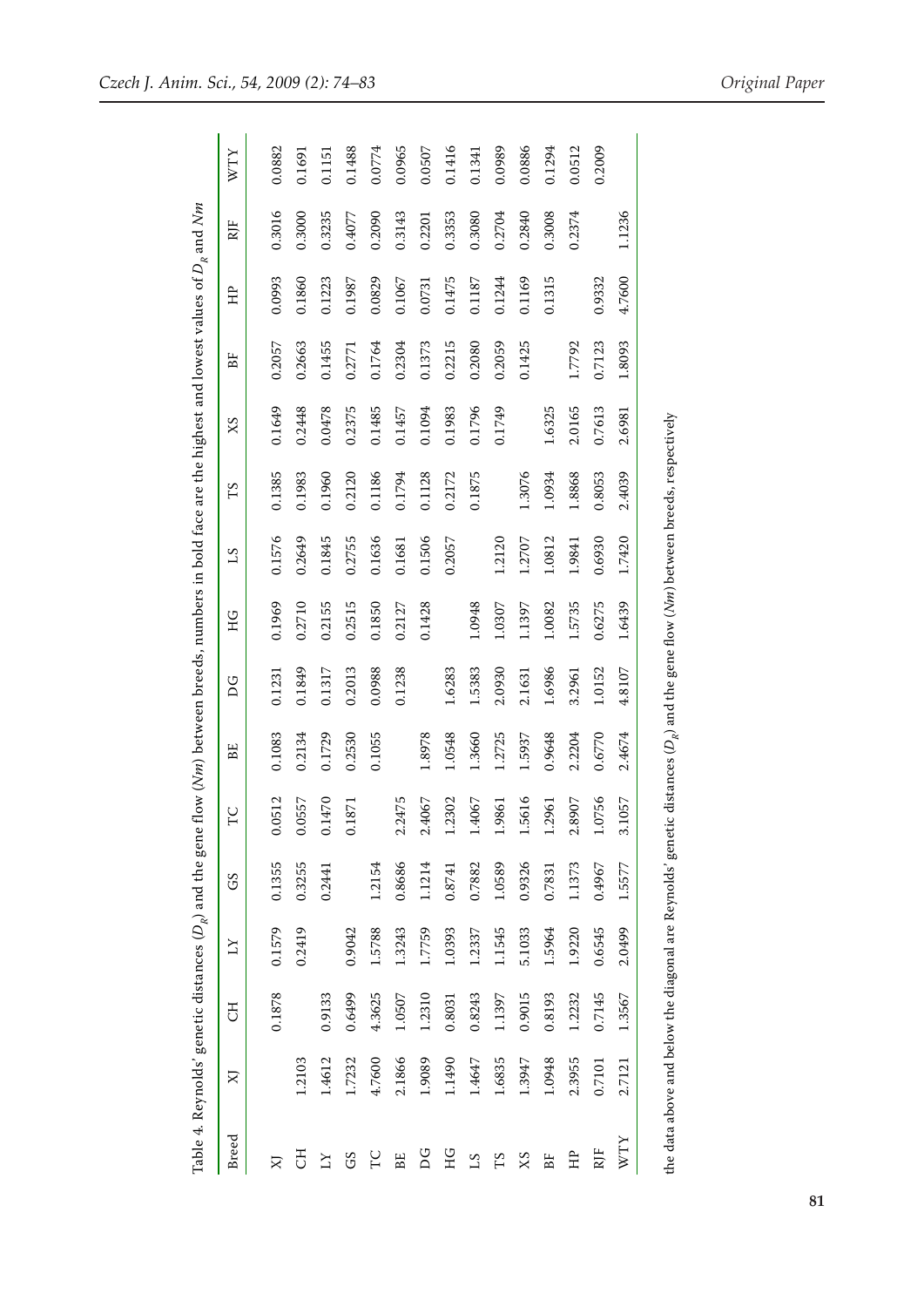|                     | Table 4. Reynolds' genetic distances ( $D_{\mathbb{R}}$ ) and the gene flow (Nm) between breeds, numbers in bold face are the highest and lowest values of $D_{\mathbb{R}}$ and Nm |           |                     |        |        |        |        |        |        |        |         |        |        |        |        |
|---------------------|------------------------------------------------------------------------------------------------------------------------------------------------------------------------------------|-----------|---------------------|--------|--------|--------|--------|--------|--------|--------|---------|--------|--------|--------|--------|
| <b>Breed</b>        | X                                                                                                                                                                                  | <b>HD</b> | $\overline{\Sigma}$ | GS     | TC     | ΒË     | DG     | НG     | 51     | SI     | $S_{X}$ | BF     | Ê      | RJF    | XLM    |
|                     |                                                                                                                                                                                    | 0.1878    | 0.1579              | 0.1355 | .0512  | 0.1083 | 0.1231 | 0.1969 | 0.1576 | 0.1385 | 0.1649  | 0.2057 | 0.0993 | 0.3016 | 0.0882 |
| <b>モ</b>            | 1.2103                                                                                                                                                                             |           | 0.2419              | 0.3255 | .0557  | 0.2134 | 0.1849 | 0.2710 | 0.2649 | 0.1983 | 0.2448  | 0.2663 | 0.1860 | 0.3000 | 0.1691 |
| $\overline{\Delta}$ | 1.4612                                                                                                                                                                             | 0.9133    |                     | 0.2441 | .1470  | 0.1729 | 0.1317 | 0.2155 | 0.1845 | 0.1960 | 0.0478  | 0.1455 | 0.1223 | 0.3235 | 0.1151 |
| GS                  | 1.7232                                                                                                                                                                             | 0.6499    | 0.9042              |        | 1871   | 0.2530 | 0.2013 | 0.2515 | 0.2755 | 0.2120 | 0.2375  | 0.2771 | 0.1987 | 0.4077 | 0.1488 |
| C                   | 4.7600                                                                                                                                                                             | 4.3625    | 1.5788              | 1.2154 |        | 0.1055 | 0.0988 | 0.1850 | 0.1636 | 0.1186 | 0.1485  | 0.1764 | 0.0829 | 0.2090 | 0.0774 |
| BE                  | 2.1866                                                                                                                                                                             | 1.0507    | 1.3243              | 0.8686 | .2475  |        | 0.1238 | 0.2127 | 0.1681 | 0.1794 | 0.1457  | 0.2304 | 0.1067 | 0.3143 | 0.0965 |
| DG                  | 1.9089                                                                                                                                                                             | 1.2310    | 1.7759              | 1.1214 | .4067  | 1.8978 |        | 0.1428 | 0.1506 | 0.1128 | 0.1094  | 0.1373 | 0.0731 | 0.2201 | 0.0507 |
| НG                  | 1.1490                                                                                                                                                                             | 0.8031    | 1.0393              | 0.8741 | .2302  | 1.0548 | 1.6283 |        | 0.2057 | 0.2172 | 0.1983  | 0.2215 | 0.1475 | 0.3353 | 0.1416 |
| 51                  | 1.4647                                                                                                                                                                             | 0.8243    | 1.2337              | 0.7882 | .4067  | 1.3660 | 1.5383 | 1.0948 |        | 0.1875 | 0.1796  | 0.2080 | 0.1187 | 0.3080 | 0.1341 |
| ГS                  | 1.6835                                                                                                                                                                             | 1.1397    | 1.1545              | 1.0589 | .9861  | 1.2725 | 2.0930 | 1.0307 | 1.2120 |        | 0.1749  | 0.2059 | 0.1244 | 0.2704 | 0.0989 |
| XS                  | 1.3947                                                                                                                                                                             | 0.9015    | 5.1033              | 0.9326 | 5616   | 1.5937 | 2.1631 | 1.1397 | 1.2707 | 1.3076 |         | 0.1425 | 0.1169 | 0.2840 | 0.0886 |
| $B_{\rm L}^{\rm L}$ | 1.0948                                                                                                                                                                             | 0.8193    | 1.5964              | 0.7831 | .2961  | 0.9648 | 1.6986 | 1.0082 | 1.0812 | 1.0934 | 1.6325  |        | 0.1315 | 0.3008 | 0.1294 |
| Ê                   | 2.3955                                                                                                                                                                             | 1.2232    | 1.9220              | 1.1373 | .8907  | 2.2204 | 3.2961 | 1.5735 | 1.9841 | 1.8868 | 2.0165  | 1.7792 |        | 0.2374 | 0.0512 |
| RJF                 | 0.7101                                                                                                                                                                             | 0.7145    | 0.6545              | 0.4967 | .0756  | 0.6770 | 1.0152 | 0.6275 | 0.6930 | 0.8053 | 0.7613  | 0.7123 | 0.9332 |        | 0.2009 |
| WΤY                 | 2.7121                                                                                                                                                                             | 1.3567    | 2.0499              | 1.5577 | 3.1057 | 2.4674 | 4.8107 | 1.6439 | 1.7420 | 2.4039 | 2.6981  | 1.8093 | 4.7600 | 1.1236 |        |
|                     | the data above and below the diagonal are Reynolds' genetic distances (D <sub>e</sub> ) and the gene flow ( <i>Nm</i> ) between breeds, respectively                               |           |                     |        |        |        |        |        |        |        |         |        |        |        |        |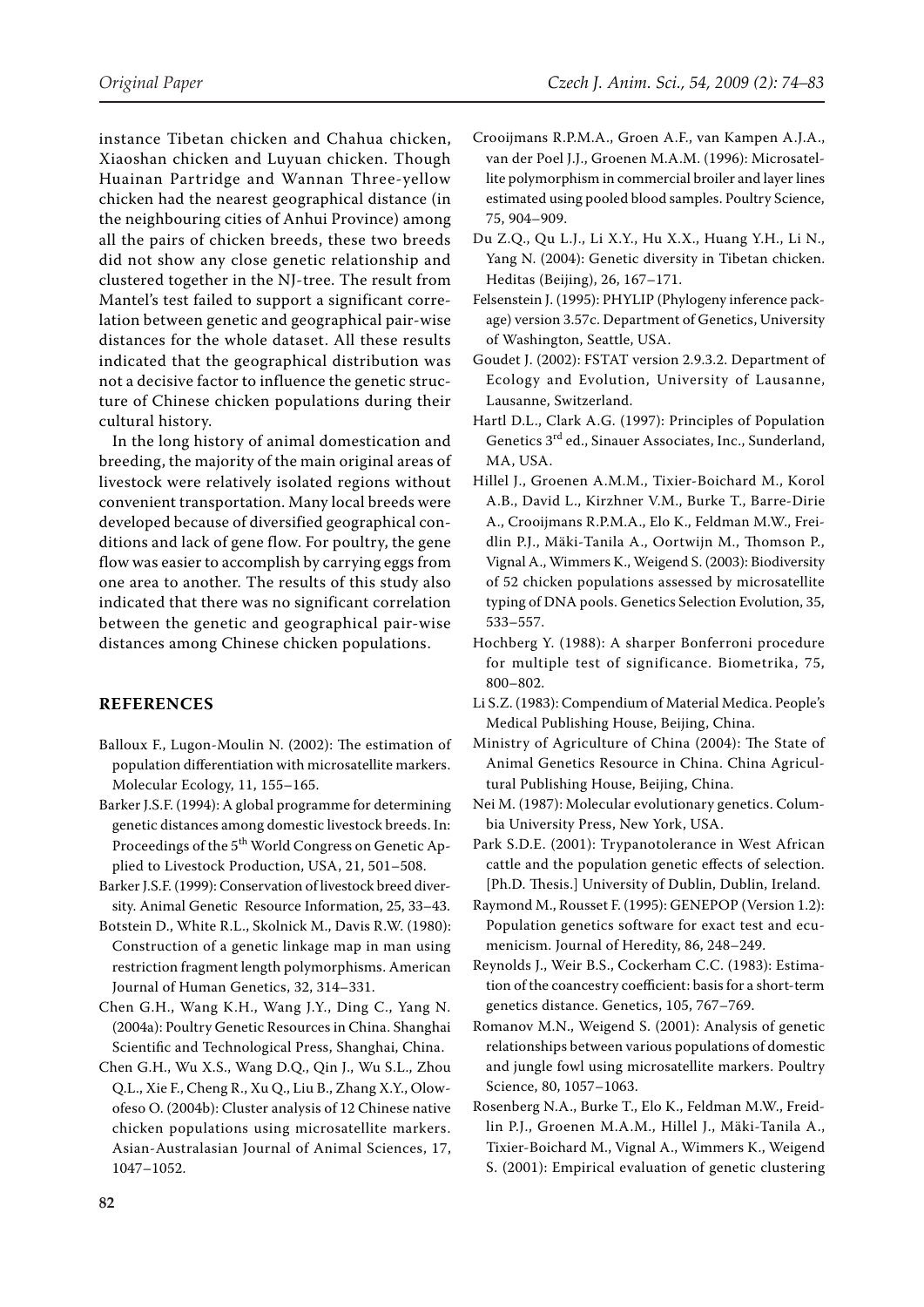instance Tibetan chicken and Chahua chicken, Xiaoshan chicken and Luyuan chicken. Though Huainan Partridge and Wannan Three-yellow chicken had the nearest geographical distance (in the neighbouring cities of Anhui Province) among all the pairs of chicken breeds, these two breeds did not show any close genetic relationship and clustered together in the NJ-tree. The result from Mantel's test failed to support a significant correlation between genetic and geographical pair-wise distances for the whole dataset. All these results indicated that the geographical distribution was not a decisive factor to influence the genetic structure of Chinese chicken populations during their cultural history.

In the long history of animal domestication and breeding, the majority of the main original areas of livestock were relatively isolated regions without convenient transportation. Many local breeds were developed because of diversified geographical conditions and lack of gene flow. For poultry, the gene flow was easier to accomplish by carrying eggs from one area to another. The results of this study also indicated that there was no significant correlation between the genetic and geographical pair-wise distances among Chinese chicken populations.

## **References**

- Balloux F., Lugon-Moulin N. (2002): The estimation of population differentiation with microsatellite markers. Molecular Ecology, 11, 155–165.
- Barker J.S.F. (1994): A global programme for determining genetic distances among domestic livestock breeds. In: Proceedings of the 5<sup>th</sup> World Congress on Genetic Applied to Livestock Production, USA, 21, 501–508.
- Barker J.S.F. (1999): Conservation of livestock breed diversity. Animal Genetic Resource Information, 25, 33–43.
- Botstein D., White R.L., Skolnick M., Davis R.W. (1980): Construction of a genetic linkage map in man using restriction fragment length polymorphisms. American Journal of Human Genetics, 32, 314–331.
- Chen G.H., Wang K.H., Wang J.Y., Ding C., Yang N. (2004a): Poultry Genetic Resources in China. Shanghai Scientific and Technological Press, Shanghai, China.
- Chen G.H., Wu X.S., Wang D.Q., Qin J., Wu S.L., Zhou Q.L., Xie F., Cheng R., Xu Q., Liu B., Zhang X.Y., Olowofeso O. (2004b): Cluster analysis of 12 Chinese native chicken populations using microsatellite markers. Asian-Australasian Journal of Animal Sciences, 17, 1047–1052.
- Crooijmans R.P.M.A., Groen A.F., van Kampen A.J.A., van der Poel J.J., Groenen M.A.M. (1996): Microsatellite polymorphism in commercial broiler and layer lines estimated using pooled blood samples. Poultry Science, 75, 904–909.
- Du Z.Q., Qu L.J., Li X.Y., Hu X.X., Huang Y.H., Li N., Yang N. (2004): Genetic diversity in Tibetan chicken. Heditas (Beijing), 26, 167–171.
- Felsenstein J. (1995): PHYLIP (Phylogeny inference package) version 3.57c. Department of Genetics, University of Washington, Seattle, USA.
- Goudet J. (2002): FSTAT version 2.9.3.2. Department of Ecology and Evolution, University of Lausanne, Lausanne, Switzerland.
- Hartl D.L., Clark A.G. (1997): Principles of Population Genetics 3rd ed., Sinauer Associates, Inc., Sunderland, MA, USA.
- Hillel J., Groenen A.M.M., Tixier-Boichard M., Korol A.B., David L., Kirzhner V.M., Burke T., Barre-Dirie A., Crooijmans R.P.M.A., Elo K., Feldman M.W., Freidlin P.J., Mäki-Tanila A., Oortwijn M., Thomson P., Vignal A., Wimmers K., Weigend S. (2003): Biodiversity of 52 chicken populations assessed by microsatellite typing of DNA pools. Genetics Selection Evolution, 35, 533–557.
- Hochberg Y. (1988): A sharper Bonferroni procedure for multiple test of significance. Biometrika, 75, 800–802.
- Li S.Z. (1983): Compendium of Material Medica. People's Medical Publishing House, Beijing, China.
- Ministry of Agriculture of China (2004): The State of Animal Genetics Resource in China. China Agricultural Publishing House, Beijing, China.
- Nei M. (1987): Molecular evolutionary genetics. Columbia University Press, New York, USA.
- Park S.D.E. (2001): Trypanotolerance in West African cattle and the population genetic effects of selection. [Ph.D. Thesis.] University of Dublin, Dublin, Ireland.
- Raymond M., Rousset F. (1995): GENEPOP (Version 1.2): Population genetics software for exact test and ecumenicism. Journal of Heredity, 86, 248–249.
- Reynolds J., Weir B.S., Cockerham C.C. (1983): Estimation of the coancestry coefficient: basis for a short-term genetics distance. Genetics, 105, 767–769.
- Romanov M.N., Weigend S. (2001): Analysis of genetic relationships between various populations of domestic and jungle fowl using microsatellite markers. Poultry Science, 80, 1057–1063.
- Rosenberg N.A., Burke T., Elo K., Feldman M.W., Freidlin P.J., Groenen M.A.M., Hillel J., Mäki-Tanila A., Tixier-Boichard M., Vignal A., Wimmers K., Weigend S. (2001): Empirical evaluation of genetic clustering